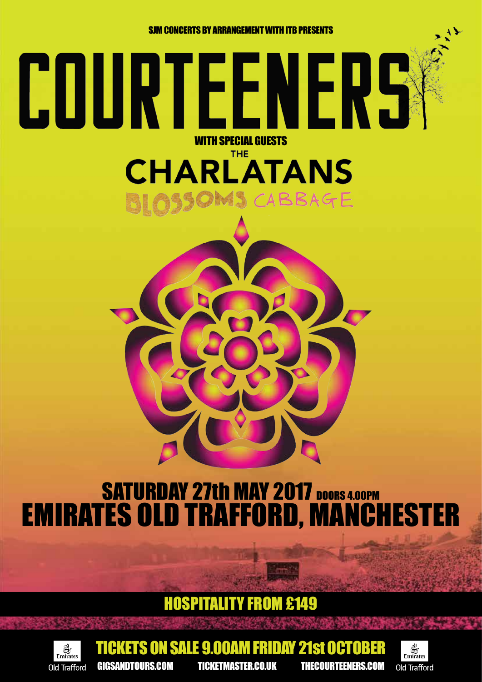SJM CONCERTS BY ARRANGEMENT WITH ITB PRESENTS

WITH SPECIAL GUESTS

**THE** 

**CHARLATANS** 

SCABBAGE

COURTEENERS

## SATURDAY 27th MAY 2017 DOORS 4.00PM EMIRATES OLD TRAFFORD, MANCHESTER

### HOSPITALITY FROM £149



GIGSANDTOURS.COM TICKETMASTER.CO.UK THECOURTEENERS.COM

SALE 9.00AM FRIDAY 21st OETO

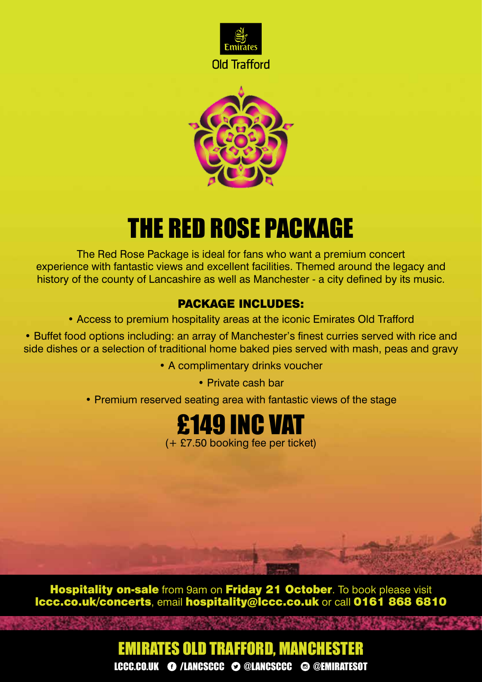



# THE RED ROSE PACKAGE

The Red Rose Package is ideal for fans who want a premium concert experience with fantastic views and excellent facilities. Themed around the legacy and history of the county of Lancashire as well as Manchester - a city defined by its music.

#### PACKAGE INCLUDES:

• Access to premium hospitality areas at the iconic Emirates Old Trafford

• Buffet food options including: an array of Manchester's finest curries served with rice and side dishes or a selection of traditional home baked pies served with mash, peas and gravy

• A complimentary drinks voucher

• Private cash bar

• Premium reserved seating area with fantastic views of the stage



Hospitality on-sale from 9am on Friday 21 October. To book please visit lccc.co.uk/concerts, email hospitality@lccc.co.uk or call 0161 868 6810

### LCCC.CO.UK **O** /LANCSCCC **O @LANCSCCC @ @EMIRATESOT** EMIRATES OLD TRAFFORD, MANCHESTER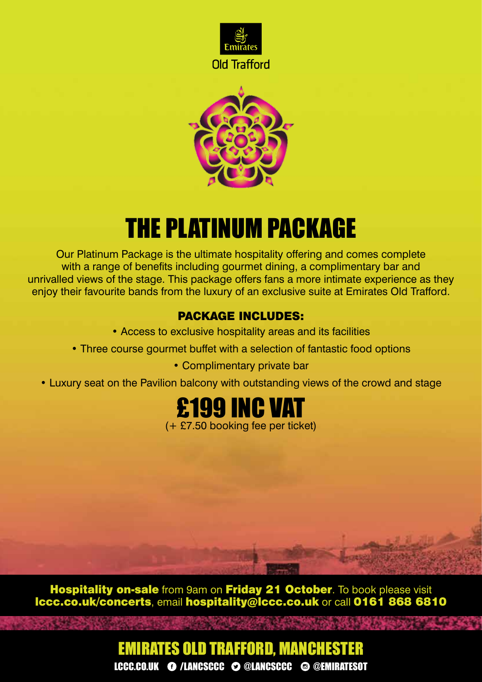



## THE PLATINUM PACKAGE

Our Platinum Package is the ultimate hospitality offering and comes complete with a range of benefits including gourmet dining, a complimentary bar and unrivalled views of the stage. This package offers fans a more intimate experience as they enjoy their favourite bands from the luxury of an exclusive suite at Emirates Old Trafford.

#### PACKAGE INCLUDES:

- Access to exclusive hospitality areas and its facilities
- Three course gourmet buffet with a selection of fantastic food options
	- Complimentary private bar
- Luxury seat on the Pavilion balcony with outstanding views of the crowd and stage



Hospitality on-sale from 9am on Friday 21 October. To book please visit lccc.co.uk/concerts, email hospitality@lccc.co.uk or call 0161 868 6810

### LCCC.CO.UK **O** /LANCSCCC **O @LANCSCCC @ @EMIRATESOT** EMIRATES OLD TRAFFORD, MANCHESTER